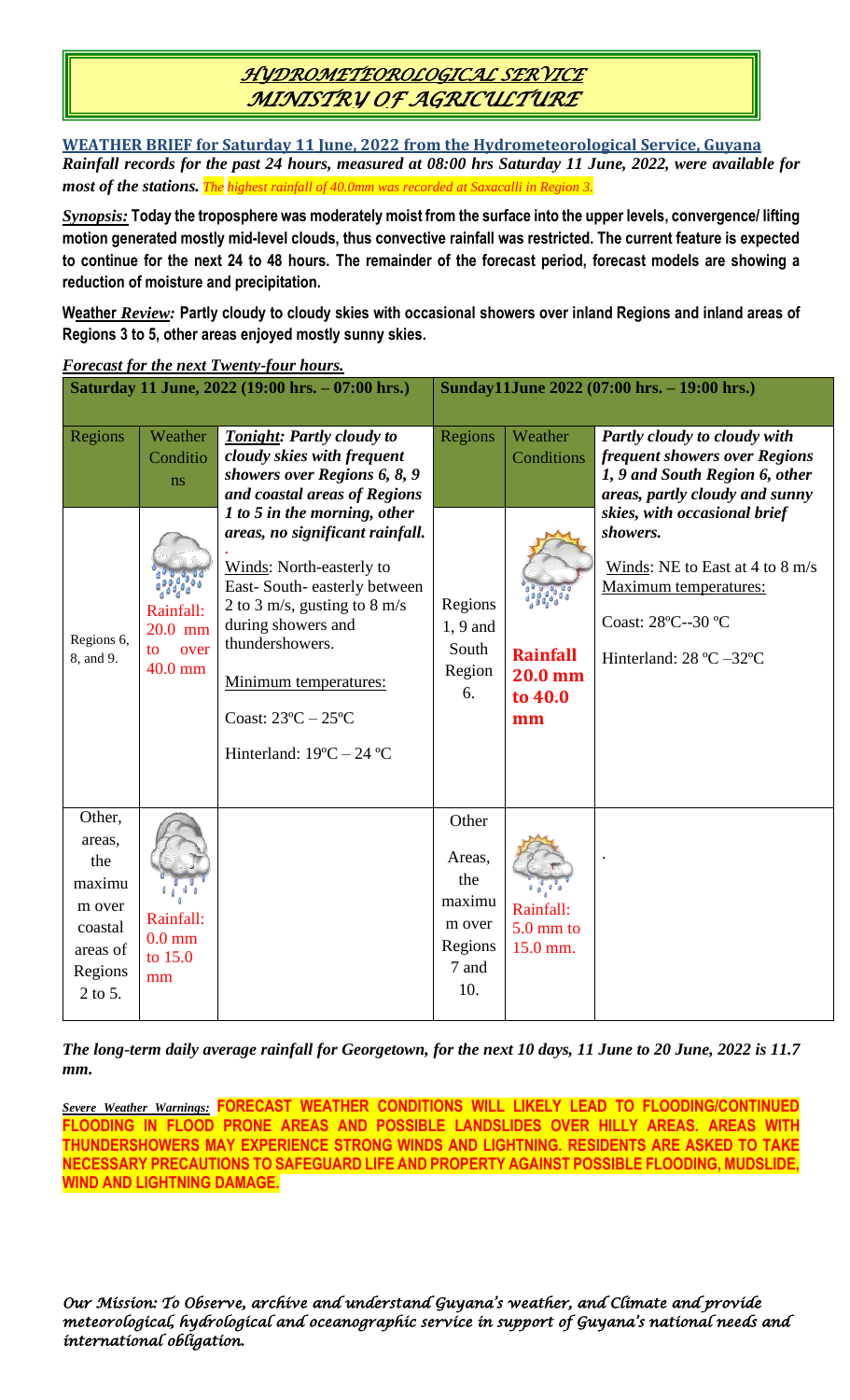# *HYDROMETEOROLOGICAL SERVICE MINISTRY OF AGRICULTURE*

**WEATHER BRIEF for Saturday 11 June, 2022 from the Hydrometeorological Service, Guyana** *Rainfall records for the past 24 hours, measured at 08:00 hrs Saturday 11 June, 2022, were available for most of the stations. The highest rainfall of 40.0mm was recorded at Saxacalli in Region 3.*

*Synopsis:* **Today the troposphere was moderately moist from the surface into the upper levels, convergence/ lifting motion generated mostly mid-level clouds, thus convective rainfall was restricted. The current feature is expected to continue for the next 24 to 48 hours. The remainder of the forecast period, forecast models are showing a reduction of moisture and precipitation.**

**Weather** *Review:* **Partly cloudy to cloudy skies with occasional showers over inland Regions and inland areas of Regions 3 to 5, other areas enjoyed mostly sunny skies.**

|                                                                                          |                                                                              | Saturday 11 June, 2022 (19:00 hrs. - 07:00 hrs.)                                                                                                                                                                                                                                                                                                                                                                                               | Sunday11June 2022 (07:00 hrs. - 19:00 hrs.)                           |                                                                             |                                                                                                                                                                                                                                                                                            |
|------------------------------------------------------------------------------------------|------------------------------------------------------------------------------|------------------------------------------------------------------------------------------------------------------------------------------------------------------------------------------------------------------------------------------------------------------------------------------------------------------------------------------------------------------------------------------------------------------------------------------------|-----------------------------------------------------------------------|-----------------------------------------------------------------------------|--------------------------------------------------------------------------------------------------------------------------------------------------------------------------------------------------------------------------------------------------------------------------------------------|
| Regions<br>Regions 6,<br>8, and 9.                                                       | Weather<br>Conditio<br>ns<br>Rainfall:<br>$20.0$ mm<br>over<br>to<br>40.0 mm | <b>Tonight: Partly cloudy to</b><br>cloudy skies with frequent<br>showers over Regions 6, 8, 9<br>and coastal areas of Regions<br>1 to 5 in the morning, other<br>areas, no significant rainfall.<br>Winds: North-easterly to<br>East-South-easterly between<br>2 to 3 m/s, gusting to 8 m/s<br>during showers and<br>thundershowers.<br>Minimum temperatures:<br>Coast: $23^{\circ}$ C $- 25^{\circ}$ C<br>Hinterland: $19^{\circ}$ C – 24 °C | Regions<br>Regions<br>$1, 9$ and<br>South<br>Region<br>6.             | Weather<br>Conditions<br><b>Rainfall</b><br><b>20.0 mm</b><br>to 40.0<br>mm | Partly cloudy to cloudy with<br>frequent showers over Regions<br>1, 9 and South Region 6, other<br>areas, partly cloudy and sunny<br>skies, with occasional brief<br>showers.<br>Winds: NE to East at 4 to 8 m/s<br>Maximum temperatures:<br>Coast: 28°C--30 °C<br>Hinterland: 28 °C -32°C |
| Other,<br>areas,<br>the<br>maximu<br>m over<br>coastal<br>areas of<br>Regions<br>2 to 5. | Rainfall:<br>$0.0 \text{ mm}$<br>to 15.0<br>mm                               |                                                                                                                                                                                                                                                                                                                                                                                                                                                | Other<br>Areas,<br>the<br>maximu<br>m over<br>Regions<br>7 and<br>10. | Rainfall:<br>$5.0$ mm to<br>15.0 mm.                                        |                                                                                                                                                                                                                                                                                            |

*Forecast for the next Twenty-four hours.*

*The long-term daily average rainfall for Georgetown, for the next 10 days, 11 June to 20 June, 2022 is 11.7 mm.*

*Severe Weather Warnings:* **FORECAST WEATHER CONDITIONS WILL LIKELY LEAD TO FLOODING/CONTINUED FLOODING IN FLOOD PRONE AREAS AND POSSIBLE LANDSLIDES OVER HILLY AREAS. AREAS WITH THUNDERSHOWERS MAY EXPERIENCE STRONG WINDS AND LIGHTNING. RESIDENTS ARE ASKED TO TAKE NECESSARY PRECAUTIONS TO SAFEGUARD LIFE AND PROPERTY AGAINST POSSIBLE FLOODING, MUDSLIDE, WIND AND LIGHTNING DAMAGE.**

*Our Mission: To Observe, archive and understand Guyana's weather, and Climate and provide meteorological, hydrological and oceanographic service in support of Guyana's national needs and international obligation.*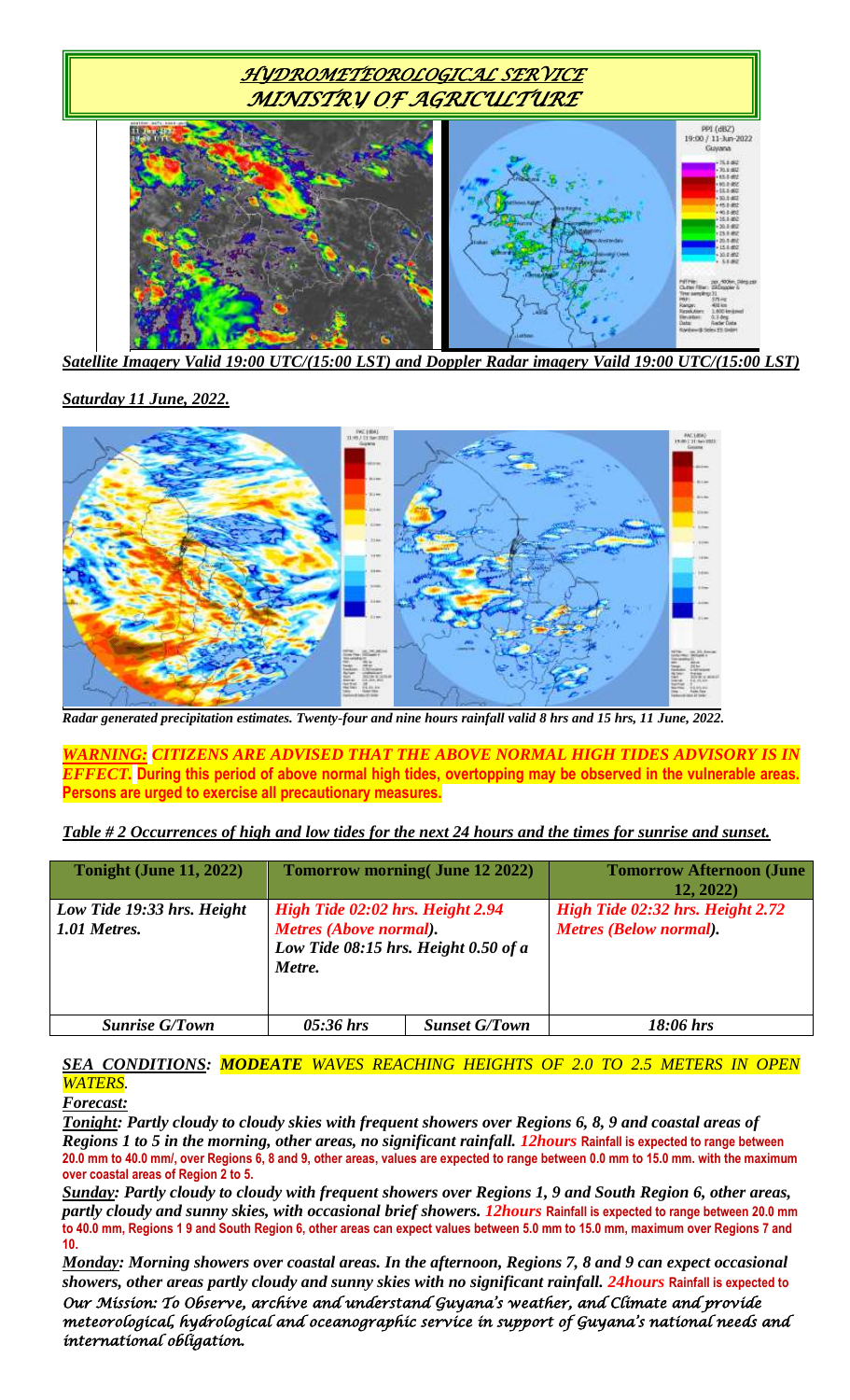

*Satellite Imagery Valid 19:00 UTC/(15:00 LST) and Doppler Radar imagery Vaild 19:00 UTC/(15:00 LST)*

### *Saturday 11 June, 2022.*



*Radar generated precipitation estimates. Twenty-four and nine hours rainfall valid 8 hrs and 15 hrs, 11 June, 2022.*

*WARNING: CITIZENS ARE ADVISED THAT THE ABOVE NORMAL HIGH TIDES ADVISORY IS IN EFFECT.* **During this period of above normal high tides, overtopping may be observed in the vulnerable areas. Persons are urged to exercise all precautionary measures.**

*Table # 2 Occurrences of high and low tides for the next 24 hours and the times for sunrise and sunset.*

| <b>Tonight (June 11, 2022)</b>             |                                                                                                              | <b>Tomorrow morning (June 12 2022)</b> | <b>Tomorrow Afternoon (June</b><br>12, 2022)                      |
|--------------------------------------------|--------------------------------------------------------------------------------------------------------------|----------------------------------------|-------------------------------------------------------------------|
| Low Tide 19:33 hrs. Height<br>1.01 Metres. | High Tide 02:02 hrs. Height 2.94<br>Metres (Above normal).<br>Low Tide 08:15 hrs. Height 0.50 of a<br>Metre. |                                        | High Tide 02:32 hrs. Height 2.72<br><b>Metres (Below normal).</b> |
| <b>Sunrise G/Town</b>                      | $05:36$ hrs                                                                                                  | <b>Sunset G/Town</b>                   | $18:06$ hrs                                                       |

### *SEA CONDITIONS: MODEATE WAVES REACHING HEIGHTS OF 2.0 TO 2.5 METERS IN OPEN WATERS.*

#### *Forecast:*

*Tonight: Partly cloudy to cloudy skies with frequent showers over Regions 6, 8, 9 and coastal areas of Regions 1 to 5 in the morning, other areas, no significant rainfall. 12hours* **Rainfall is expected to range between 20.0 mm to 40.0 mm/, over Regions 6, 8 and 9, other areas, values are expected to range between 0.0 mm to 15.0 mm. with the maximum over coastal areas of Region 2 to 5.**

*Sunday: Partly cloudy to cloudy with frequent showers over Regions 1, 9 and South Region 6, other areas, partly cloudy and sunny skies, with occasional brief showers. 12hours* **Rainfall is expected to range between 20.0 mm to 40.0 mm, Regions 1 9 and South Region 6, other areas can expect values between 5.0 mm to 15.0 mm, maximum over Regions 7 and 10.**

*Our Mission: To Observe, archive and understand Guyana's weather, and Climate and provide meteorological, hydrological and oceanographic service in support of Guyana's national needs and international obligation. Monday: Morning showers over coastal areas. In the afternoon, Regions 7, 8 and 9 can expect occasional showers, other areas partly cloudy and sunny skies with no significant rainfall. 24hours* **Rainfall is expected to**